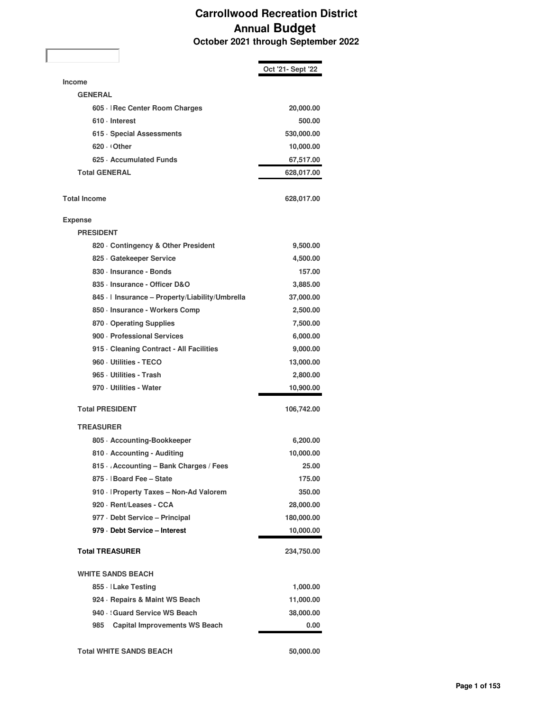## **Carrollwood Recreation District Annual Budget October 2021 through September 2022**

|                                               | Oct '21- Sept '22 |
|-----------------------------------------------|-------------------|
| <b>Income</b>                                 |                   |
| <b>GENERAL</b>                                |                   |
| 605 -   Rec Center Room Charges               | 20,000.00         |
| 610 - Interest                                | 500.00            |
| 615 · Special Assessments                     | 530,000.00        |
| 620 Other                                     | 10,000.00         |
| 625 Accumulated Funds                         | 67,517.00         |
| <b>Total GENERAL</b>                          | 628,017.00        |
|                                               |                   |
| <b>Total Income</b>                           | 628,017.00        |
| <b>Expense</b>                                |                   |
| <b>PRESIDENT</b>                              |                   |
| 820 Contingency & Other President             | 9,500.00          |
| 825 Gatekeeper Service                        | 4,500.00          |
| 830 · Insurance - Bonds                       | 157.00            |
| 835 - Insurance - Officer D&O                 | 3,885.00          |
| 845 · Insurance - Property/Liability/Umbrella | 37,000.00         |
| 850 · Insurance - Workers Comp                | 2,500.00          |
| 870 Operating Supplies                        | 7,500.00          |
| 900 - Professional Services                   | 6,000.00          |
| 915 - Cleaning Contract - All Facilities      | 9,000.00          |
| 960 - Utilities - TECO                        | 13,000.00         |
| 965 Utilities - Trash                         | 2,800.00          |
| 970 - Utilities - Water                       | 10,900.00         |
| <b>Total PRESIDENT</b>                        | 106,742.00        |
| <b>TREASURER</b>                              |                   |
| 805 · Accounting-Bookkeeper                   | 6,200.00          |
| 810 · Accounting - Auditing                   | 10,000.00         |
| 815 Accounting - Bank Charges / Fees          | 25.00             |
| 875 · Board Fee - State                       | 175.00            |
| 910 · Property Taxes - Non-Ad Valorem         | 350.00            |
| 920 · Rent/Leases - CCA                       | 28,000.00         |
| 977 - Debt Service - Principal                | 180,000.00        |
| 979 - Debt Service - Interest                 | 10,000.00         |
| <b>Total TREASURER</b>                        | 234,750.00        |
| <b>WHITE SANDS BEACH</b>                      |                   |
| 855 · Lake Testing                            | 1,000.00          |
| 924 · Repairs & Maint WS Beach                | 11,000.00         |
| 940 Guard Service WS Beach                    | 38,000.00         |
| <b>Capital Improvements WS Beach</b><br>985   | 0.00              |
| <b>Total WHITE SANDS BEACH</b>                | 50,000.00         |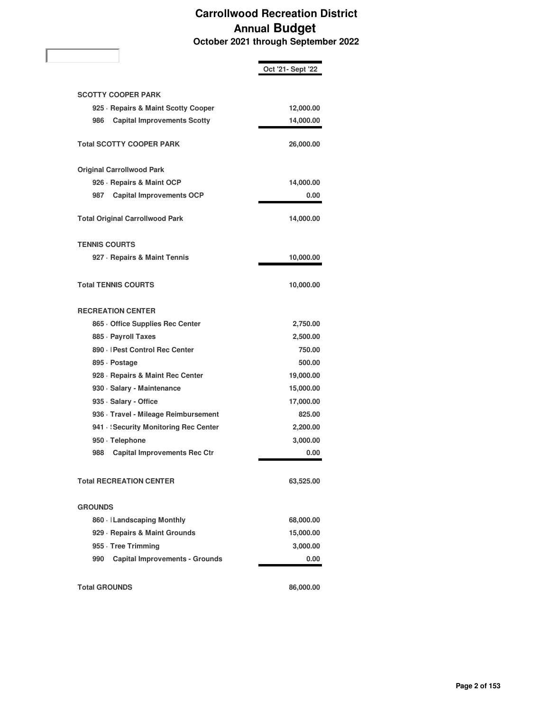## **Carrollwood Recreation District Annual Budget October 2021 through September 2022**

|                                              | Oct '21- Sept '22 |
|----------------------------------------------|-------------------|
| <b>SCOTTY COOPER PARK</b>                    |                   |
| 925 · Repairs & Maint Scotty Cooper          | 12,000.00         |
| 986<br><b>Capital Improvements Scotty</b>    | 14,000.00         |
|                                              |                   |
| <b>Total SCOTTY COOPER PARK</b>              | 26,000.00         |
| <b>Original Carrollwood Park</b>             |                   |
| 926 · Repairs & Maint OCP                    | 14,000.00         |
| <b>Capital Improvements OCP</b><br>987       | 0.00              |
| <b>Total Original Carrollwood Park</b>       | 14,000.00         |
| <b>TENNIS COURTS</b>                         |                   |
| 927 · Repairs & Maint Tennis                 | 10,000.00         |
| <b>Total TENNIS COURTS</b>                   | 10,000.00         |
| <b>RECREATION CENTER</b>                     |                   |
| 865 Office Supplies Rec Center               | 2,750.00          |
| 885 · Payroll Taxes                          | 2,500.00          |
| 890 -   Pest Control Rec Center              | 750.00            |
| 895 Dostage                                  | 500.00            |
| 928 · Repairs & Maint Rec Center             | 19,000.00         |
| 930 · Salary - Maintenance                   | 15,000.00         |
| 935 · Salary - Office                        | 17,000.00         |
| 936 · Travel - Mileage Reimbursement         | 825.00            |
| 941 · Security Monitoring Rec Center         | 2,200.00          |
| 950 · Telephone                              | 3,000.00          |
| <b>Capital Improvements Rec Ctr</b><br>988   | 0.00              |
| <b>Total RECREATION CENTER</b>               | 63,525.00         |
| <b>GROUNDS</b>                               |                   |
| 860 · Landscaping Monthly                    | 68,000.00         |
| 929 · Repairs & Maint Grounds                | 15,000.00         |
| 955 · Tree Trimming                          | 3,000.00          |
| <b>Capital Improvements - Grounds</b><br>990 | 0.00              |
| <b>Total GROUNDS</b>                         | 86,000.00         |